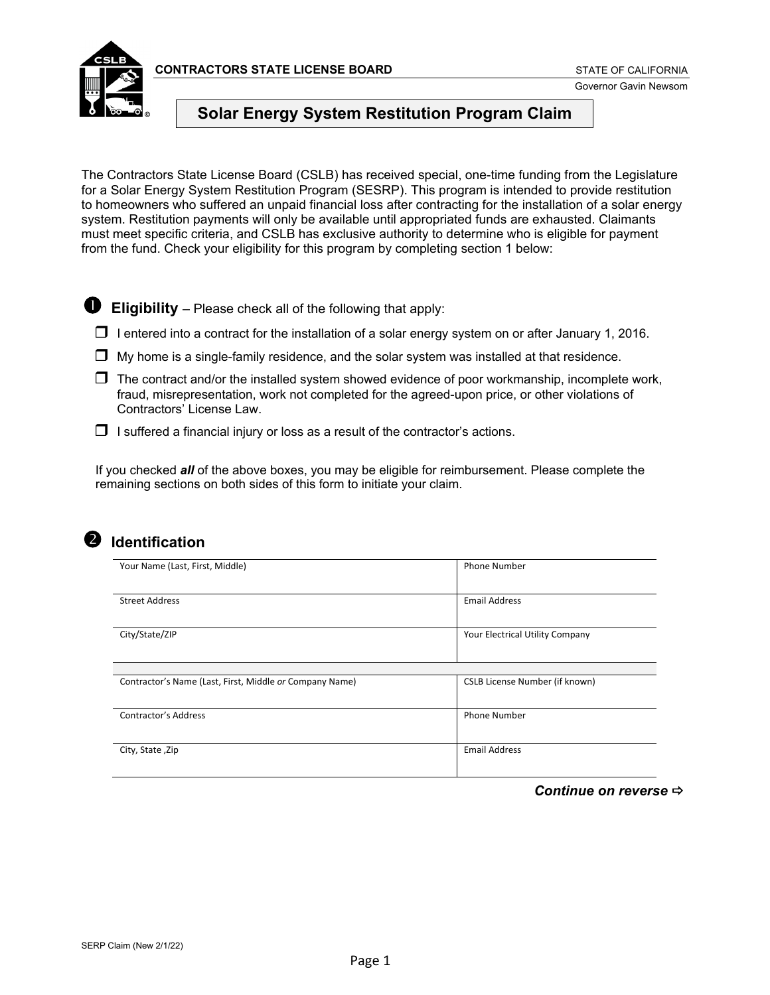**CONTRACTORS STATE LICENSE BOARD** STATE OF CALIFORNIA



Governor Gavin Newsom

#### **Solar Energy System Restitution Program Claim**

The Contractors State License Board (CSLB) has received special, one-time funding from the Legislature for a Solar Energy System Restitution Program (SESRP). This program is intended to provide restitution to homeowners who suffered an unpaid financial loss after contracting for the installation of a solar energy system. Restitution payments will only be available until appropriated funds are exhausted. Claimants must meet specific criteria, and CSLB has exclusive authority to determine who is eligible for payment from the fund. Check your eligibility for this program by completing section 1 below:

 $\bullet$  Eligibility – Please check all of the following that apply:

- $\Box$  I entered into a contract for the installation of a solar energy system on or after January 1, 2016.
- $\Box$  My home is a single-family residence, and the solar system was installed at that residence.
- $\Box$  The contract and/or the installed system showed evidence of poor workmanship, incomplete work, fraud, misrepresentation, work not completed for the agreed-upon price, or other violations of Contractors' License Law.
- $\Box$  I suffered a financial injury or loss as a result of the contractor's actions.

If you checked *all* of the above boxes, you may be eligible for reimbursement. Please complete the remaining sections on both sides of this form to initiate your claim.



#### **2** Identification

| Your Name (Last, First, Middle)                         | <b>Phone Number</b>                   |
|---------------------------------------------------------|---------------------------------------|
| <b>Street Address</b>                                   | <b>Email Address</b>                  |
| City/State/ZIP                                          | Your Electrical Utility Company       |
|                                                         |                                       |
| Contractor's Name (Last, First, Middle or Company Name) | <b>CSLB License Number (if known)</b> |
| <b>Contractor's Address</b>                             | <b>Phone Number</b>                   |
| City, State, Zip                                        | <b>Email Address</b>                  |

*Continue on reverse*